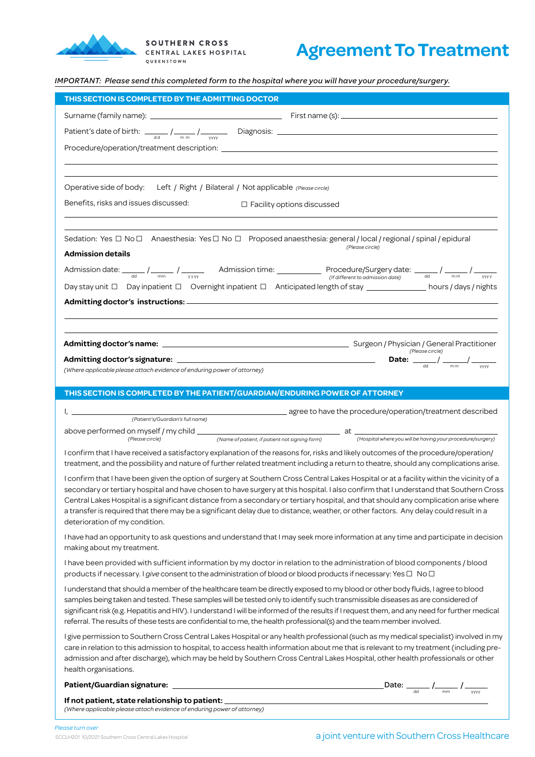

## **Agreement To Treatment**

*IMPORTANT: Please send this completed form to the hospital where you will have your procedure/surgery.*

| THIS SECTION IS COMPLETED BY THE ADMITTING DOCTOR                                                                                                                                                                                                                                                                                                                                                                                                                                                                                                                               |  |
|---------------------------------------------------------------------------------------------------------------------------------------------------------------------------------------------------------------------------------------------------------------------------------------------------------------------------------------------------------------------------------------------------------------------------------------------------------------------------------------------------------------------------------------------------------------------------------|--|
|                                                                                                                                                                                                                                                                                                                                                                                                                                                                                                                                                                                 |  |
| Patient's date of birth: $\frac{1}{\text{ad}}$ / $\frac{1}{\text{mm}}$ / $\frac{1}{\text{www}}$ Diagnosis: $\frac{1}{\text{m}}$ Diagnosis: $\frac{1}{\text{m}}$ Diagnosis: $\frac{1}{\text{m}}$                                                                                                                                                                                                                                                                                                                                                                                 |  |
|                                                                                                                                                                                                                                                                                                                                                                                                                                                                                                                                                                                 |  |
|                                                                                                                                                                                                                                                                                                                                                                                                                                                                                                                                                                                 |  |
|                                                                                                                                                                                                                                                                                                                                                                                                                                                                                                                                                                                 |  |
| Operative side of body: Left / Right / Bilateral / Not applicable (Please circle)                                                                                                                                                                                                                                                                                                                                                                                                                                                                                               |  |
| Benefits, risks and issues discussed:<br>$\Box$ Facility options discussed                                                                                                                                                                                                                                                                                                                                                                                                                                                                                                      |  |
|                                                                                                                                                                                                                                                                                                                                                                                                                                                                                                                                                                                 |  |
| Sedation: Yes □ No □ Anaesthesia: Yes □ No □ Proposed anaesthesia: general / local / regional / spinal / epidural                                                                                                                                                                                                                                                                                                                                                                                                                                                               |  |
| (Please circle)<br><b>Admission details</b>                                                                                                                                                                                                                                                                                                                                                                                                                                                                                                                                     |  |
| Admission date: $\frac{1}{\text{cm}}$ / $\frac{1}{\text{cm}}$ / $\frac{1}{\text{cm}}$ / $\frac{1}{\text{cm}}$ / $\frac{1}{\text{cm}}$ / $\frac{1}{\text{cm}}$ / $\frac{1}{\text{cm}}$ / $\frac{1}{\text{cm}}$ / $\frac{1}{\text{cm}}$ / $\frac{1}{\text{cm}}$ / $\frac{1}{\text{cm}}$ / $\frac{1}{\text{cm}}$ / $\frac{1}{\text{cm}}$ / $\frac{1}{\text{cm$                                                                                                                                                                                                                     |  |
| Day stay unit □ Day inpatient □ Overnight inpatient □ Anticipated length of stay ______________ hours / days / nights                                                                                                                                                                                                                                                                                                                                                                                                                                                           |  |
|                                                                                                                                                                                                                                                                                                                                                                                                                                                                                                                                                                                 |  |
|                                                                                                                                                                                                                                                                                                                                                                                                                                                                                                                                                                                 |  |
|                                                                                                                                                                                                                                                                                                                                                                                                                                                                                                                                                                                 |  |
|                                                                                                                                                                                                                                                                                                                                                                                                                                                                                                                                                                                 |  |
| Admitting doctor's signature: $\frac{1}{\sqrt{1-\frac{1}{2}}}\sqrt{1-\frac{1}{2}}$                                                                                                                                                                                                                                                                                                                                                                                                                                                                                              |  |
| (Where applicable please attach evidence of enduring power of attorney)                                                                                                                                                                                                                                                                                                                                                                                                                                                                                                         |  |
| THIS SECTION IS COMPLETED BY THE PATIENT/GUARDIAN/ENDURING POWER OF ATTORNEY                                                                                                                                                                                                                                                                                                                                                                                                                                                                                                    |  |
|                                                                                                                                                                                                                                                                                                                                                                                                                                                                                                                                                                                 |  |
|                                                                                                                                                                                                                                                                                                                                                                                                                                                                                                                                                                                 |  |
|                                                                                                                                                                                                                                                                                                                                                                                                                                                                                                                                                                                 |  |
|                                                                                                                                                                                                                                                                                                                                                                                                                                                                                                                                                                                 |  |
| I confirm that I have received a satisfactory explanation of the reasons for, risks and likely outcomes of the procedure/operation/<br>treatment, and the possibility and nature of further related treatment including a return to theatre, should any complications arise.                                                                                                                                                                                                                                                                                                    |  |
| I confirm that I have been given the option of surgery at Southern Cross Central Lakes Hospital or at a facility within the vicinity of a                                                                                                                                                                                                                                                                                                                                                                                                                                       |  |
| secondary or tertiary hospital and have chosen to have surgery at this hospital. I also confirm that I understand that Southern Cross                                                                                                                                                                                                                                                                                                                                                                                                                                           |  |
| Central Lakes Hospital is a significant distance from a secondary or tertiary hospital, and that should any complication arise where<br>a transfer is required that there may be a significant delay due to distance, weather, or other factors. Any delay could result in a                                                                                                                                                                                                                                                                                                    |  |
| deterioration of my condition.                                                                                                                                                                                                                                                                                                                                                                                                                                                                                                                                                  |  |
| I have had an opportunity to ask questions and understand that I may seek more information at any time and participate in decision<br>making about my treatment.                                                                                                                                                                                                                                                                                                                                                                                                                |  |
| I have been provided with sufficient information by my doctor in relation to the administration of blood components / blood                                                                                                                                                                                                                                                                                                                                                                                                                                                     |  |
| products if necessary. I give consent to the administration of blood or blood products if necessary: Yes $\Box$ No $\Box$                                                                                                                                                                                                                                                                                                                                                                                                                                                       |  |
| I understand that should a member of the healthcare team be directly exposed to my blood or other body fluids, I agree to blood                                                                                                                                                                                                                                                                                                                                                                                                                                                 |  |
| samples being taken and tested. These samples will be tested only to identify such transmissible diseases as are considered of                                                                                                                                                                                                                                                                                                                                                                                                                                                  |  |
| significant risk (e.g. Hepatitis and HIV). I understand I will be informed of the results if I request them, and any need for further medical<br>referral. The results of these tests are confidential to me, the health professional(s) and the team member involved.                                                                                                                                                                                                                                                                                                          |  |
| I give permission to Southern Cross Central Lakes Hospital or any health professional (such as my medical specialist) involved in my                                                                                                                                                                                                                                                                                                                                                                                                                                            |  |
| care in relation to this admission to hospital, to access health information about me that is relevant to my treatment (including pre-                                                                                                                                                                                                                                                                                                                                                                                                                                          |  |
| admission and after discharge), which may be held by Southern Cross Central Lakes Hospital, other health professionals or other<br>health organisations.                                                                                                                                                                                                                                                                                                                                                                                                                        |  |
|                                                                                                                                                                                                                                                                                                                                                                                                                                                                                                                                                                                 |  |
| $\_$ Date: $\frac{1}{\sqrt{1-\frac{1}{1-\frac{1}{1-\frac{1}{1-\frac{1}{1-\frac{1}{1-\frac{1}{1-\frac{1}{1-\frac{1}{1-\frac{1}{1-\frac{1}{1-\frac{1}{1-\frac{1}{1-\frac{1}{1-\frac{1}{1-\frac{1}{1-\frac{1}{1-\frac{1}{1-\frac{1}{1-\frac{1}{1-\frac{1}{1-\frac{1}{1-\frac{1}{1-\frac{1}{1-\frac{1}{1-\frac{1}{1-\frac{1}{1-\frac{1}{1-\frac{1}{1-\frac{1}{1-\frac{1}{1-\frac{1}{1-\frac{1}{1-\frac{1}{1-\frac{1$<br>If not patient, state relationship to patient: _________________________________<br>(Where applicable please attach evidence of enduring power of attorney) |  |